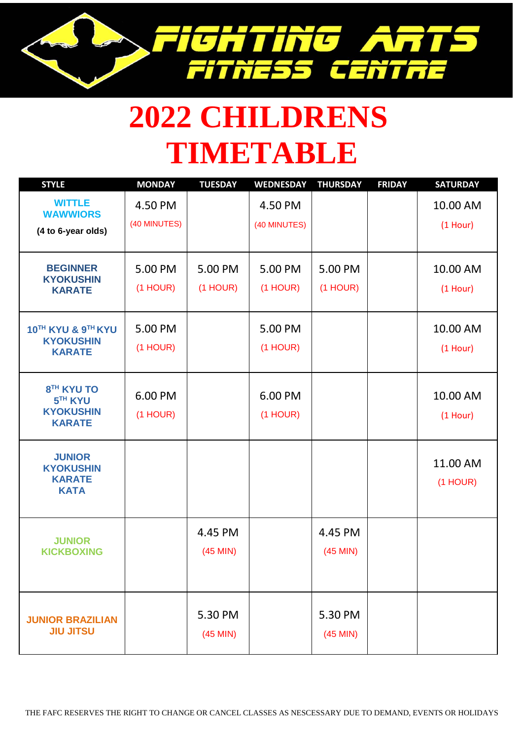

## **2022 CHILDRENS TIMETABLE**

| <b>STYLE</b>                                                                       | <b>MONDAY</b>           | <b>TUESDAY</b>        | <b>WEDNESDAY</b>        | <b>THURSDAY</b>       | <b>FRIDAY</b> | <b>SATURDAY</b>        |
|------------------------------------------------------------------------------------|-------------------------|-----------------------|-------------------------|-----------------------|---------------|------------------------|
| <b>WITTLE</b><br><b>WAWWIORS</b><br>(4 to 6-year olds)                             | 4.50 PM<br>(40 MINUTES) |                       | 4.50 PM<br>(40 MINUTES) |                       |               | 10.00 AM<br>$(1$ Hour) |
| <b>BEGINNER</b><br><b>KYOKUSHIN</b><br><b>KARATE</b>                               | 5.00 PM<br>$(1$ HOUR)   | 5.00 PM<br>$(1$ HOUR) | 5.00 PM<br>(1 HOUR)     | 5.00 PM<br>$(1$ HOUR) |               | 10.00 AM<br>$(1$ Hour) |
| 10TH KYU & 9TH KYU<br><b>KYOKUSHIN</b><br><b>KARATE</b>                            | 5.00 PM<br>$(1$ HOUR)   |                       | 5.00 PM<br>$(1$ HOUR)   |                       |               | 10.00 AM<br>$(1$ Hour) |
| 8 <sup>TH</sup> KYU TO<br>5 <sup>TH</sup> KYU<br><b>KYOKUSHIN</b><br><b>KARATE</b> | 6.00 PM<br>$(1$ HOUR)   |                       | 6.00 PM<br>$(1$ HOUR)   |                       |               | 10.00 AM<br>$(1$ Hour) |
| <b>JUNIOR</b><br><b>KYOKUSHIN</b><br><b>KARATE</b><br><b>KATA</b>                  |                         |                       |                         |                       |               | 11.00 AM<br>$(1$ HOUR) |
| <b>JUNIOR</b><br><b>KICKBOXING</b>                                                 |                         | 4.45 PM<br>$(45$ MIN) |                         | 4.45 PM<br>$(45$ MIN) |               |                        |
| <b>JUNIOR BRAZILIAN</b><br><b>JIU JITSU</b>                                        |                         | 5.30 PM<br>$(45$ MIN) |                         | 5.30 PM<br>$(45$ MIN) |               |                        |